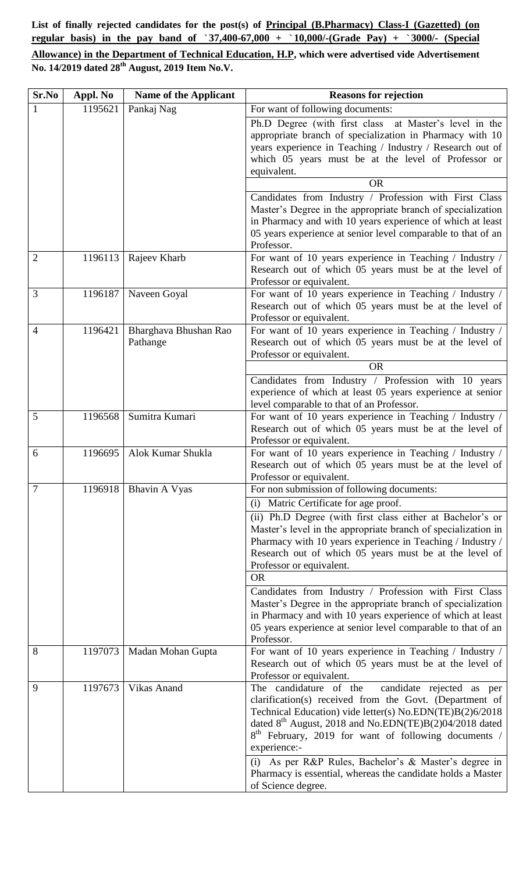**List of finally rejected candidates for the post(s) of Principal (B.Pharmacy) Class-I (Gazetted) (on regular basis) in the pay band of `37,400-67,000 + `10,000/-(Grade Pay) + `3000/- (Special** 

**Allowance) in the Department of Technical Education, H.P, which were advertised vide Advertisement No. 14/2019 dated 28 th August, 2019 Item No.V.**

| Sr.No          | Appl. No | Name of the Applicant             | <b>Reasons for rejection</b>                                                                                                                                                                                                                                                                                                                                                        |
|----------------|----------|-----------------------------------|-------------------------------------------------------------------------------------------------------------------------------------------------------------------------------------------------------------------------------------------------------------------------------------------------------------------------------------------------------------------------------------|
| $\mathbf{1}$   | 1195621  | Pankaj Nag                        | For want of following documents:                                                                                                                                                                                                                                                                                                                                                    |
|                |          |                                   | Ph.D Degree (with first class at Master's level in the<br>appropriate branch of specialization in Pharmacy with 10<br>years experience in Teaching / Industry / Research out of<br>which 05 years must be at the level of Professor or                                                                                                                                              |
|                |          |                                   | equivalent.                                                                                                                                                                                                                                                                                                                                                                         |
|                |          |                                   | <b>OR</b>                                                                                                                                                                                                                                                                                                                                                                           |
|                |          |                                   | Candidates from Industry / Profession with First Class<br>Master's Degree in the appropriate branch of specialization<br>in Pharmacy and with 10 years experience of which at least<br>05 years experience at senior level comparable to that of an<br>Professor.                                                                                                                   |
| $\overline{2}$ | 1196113  | Rajeev Kharb                      | For want of 10 years experience in Teaching / Industry /<br>Research out of which 05 years must be at the level of<br>Professor or equivalent.                                                                                                                                                                                                                                      |
| 3              | 1196187  | Naveen Goyal                      | For want of 10 years experience in Teaching / Industry /<br>Research out of which 05 years must be at the level of<br>Professor or equivalent.                                                                                                                                                                                                                                      |
| $\overline{4}$ | 1196421  | Bharghava Bhushan Rao<br>Pathange | For want of 10 years experience in Teaching / Industry /<br>Research out of which 05 years must be at the level of<br>Professor or equivalent.                                                                                                                                                                                                                                      |
|                |          |                                   | <b>OR</b><br>Candidates from Industry / Profession with 10 years<br>experience of which at least 05 years experience at senior<br>level comparable to that of an Professor.                                                                                                                                                                                                         |
| 5              | 1196568  | Sumitra Kumari                    | For want of 10 years experience in Teaching / Industry /<br>Research out of which 05 years must be at the level of<br>Professor or equivalent.                                                                                                                                                                                                                                      |
| 6              | 1196695  | Alok Kumar Shukla                 | For want of 10 years experience in Teaching / Industry /<br>Research out of which 05 years must be at the level of<br>Professor or equivalent.                                                                                                                                                                                                                                      |
| 7              | 1196918  | Bhavin A Vyas                     | For non submission of following documents:                                                                                                                                                                                                                                                                                                                                          |
|                |          |                                   | (i) Matric Certificate for age proof.                                                                                                                                                                                                                                                                                                                                               |
|                |          |                                   | (ii) Ph.D Degree (with first class either at Bachelor's or<br>Master's level in the appropriate branch of specialization in<br>Pharmacy with 10 years experience in Teaching / Industry /<br>Research out of which 05 years must be at the level of<br>Professor or equivalent.<br><b>OR</b>                                                                                        |
|                |          |                                   | Candidates from Industry / Profession with First Class<br>Master's Degree in the appropriate branch of specialization<br>in Pharmacy and with 10 years experience of which at least<br>05 years experience at senior level comparable to that of an<br>Professor.                                                                                                                   |
| 8              | 1197073  | Madan Mohan Gupta                 | For want of 10 years experience in Teaching / Industry /<br>Research out of which 05 years must be at the level of<br>Professor or equivalent.                                                                                                                                                                                                                                      |
| 9              | 1197673  | Vikas Anand                       | The candidature of the<br>candidate rejected as per<br>clarification(s) received from the Govt. (Department of<br>Technical Education) vide letter(s) No.EDN(TE)B(2)6/2018<br>dated $8th$ August, 2018 and No.EDN(TE)B(2)04/2018 dated<br>8 <sup>th</sup> February, 2019 for want of following documents /<br>experience:-<br>(i) As per R&P Rules, Bachelor's & Master's degree in |
|                |          |                                   | Pharmacy is essential, whereas the candidate holds a Master<br>of Science degree.                                                                                                                                                                                                                                                                                                   |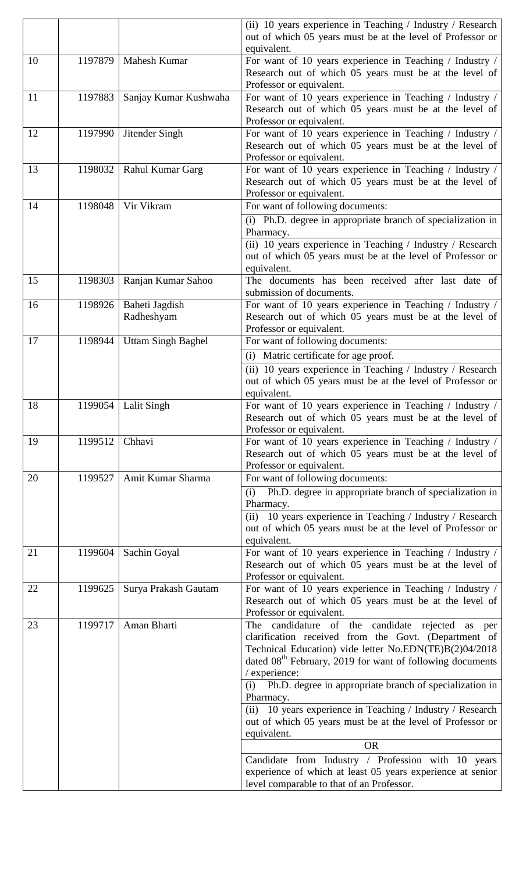|    |         |                           | (ii) 10 years experience in Teaching / Industry / Research<br>out of which 05 years must be at the level of Professor or                       |
|----|---------|---------------------------|------------------------------------------------------------------------------------------------------------------------------------------------|
|    |         |                           | equivalent.                                                                                                                                    |
| 10 | 1197879 | Mahesh Kumar              | For want of 10 years experience in Teaching / Industry /<br>Research out of which 05 years must be at the level of<br>Professor or equivalent. |
| 11 | 1197883 | Sanjay Kumar Kushwaha     | For want of 10 years experience in Teaching / Industry /<br>Research out of which 05 years must be at the level of<br>Professor or equivalent. |
| 12 | 1197990 | Jitender Singh            | For want of 10 years experience in Teaching / Industry /<br>Research out of which 05 years must be at the level of<br>Professor or equivalent. |
| 13 | 1198032 | Rahul Kumar Garg          | For want of 10 years experience in Teaching / Industry /<br>Research out of which 05 years must be at the level of<br>Professor or equivalent. |
| 14 | 1198048 | Vir Vikram                | For want of following documents:                                                                                                               |
|    |         |                           | (i) Ph.D. degree in appropriate branch of specialization in<br>Pharmacy.                                                                       |
|    |         |                           | (ii) 10 years experience in Teaching / Industry / Research<br>out of which 05 years must be at the level of Professor or                       |
|    |         |                           | equivalent.                                                                                                                                    |
| 15 | 1198303 | Ranjan Kumar Sahoo        | The documents has been received after last date of<br>submission of documents.                                                                 |
| 16 | 1198926 | Baheti Jagdish            | For want of 10 years experience in Teaching / Industry /                                                                                       |
|    |         | Radheshyam                | Research out of which 05 years must be at the level of<br>Professor or equivalent.                                                             |
| 17 | 1198944 | <b>Uttam Singh Baghel</b> | For want of following documents:                                                                                                               |
|    |         |                           | (i) Matric certificate for age proof.                                                                                                          |
|    |         |                           | (ii) 10 years experience in Teaching / Industry / Research                                                                                     |
|    |         |                           | out of which 05 years must be at the level of Professor or<br>equivalent.                                                                      |
| 18 | 1199054 | <b>Lalit Singh</b>        | For want of 10 years experience in Teaching / Industry /                                                                                       |
|    |         |                           | Research out of which 05 years must be at the level of                                                                                         |
|    |         |                           | Professor or equivalent.                                                                                                                       |
| 19 | 1199512 | Chhavi                    | For want of 10 years experience in Teaching / Industry /<br>Research out of which 05 years must be at the level of                             |
|    |         |                           | Professor or equivalent.                                                                                                                       |
| 20 | 1199527 | Amit Kumar Sharma         | For want of following documents:                                                                                                               |
|    |         |                           | Ph.D. degree in appropriate branch of specialization in<br>(i)<br>Pharmacy.                                                                    |
|    |         |                           | (ii) 10 years experience in Teaching / Industry / Research                                                                                     |
|    |         |                           | out of which 05 years must be at the level of Professor or<br>equivalent.                                                                      |
| 21 | 1199604 | Sachin Goyal              | For want of 10 years experience in Teaching / Industry /                                                                                       |
|    |         |                           | Research out of which 05 years must be at the level of                                                                                         |
|    |         |                           | Professor or equivalent.                                                                                                                       |
| 22 | 1199625 | Surya Prakash Gautam      | For want of 10 years experience in Teaching / Industry /<br>Research out of which 05 years must be at the level of                             |
| 23 | 1199717 | Aman Bharti               | Professor or equivalent.<br>The candidature of the candidate rejected as per                                                                   |
|    |         |                           | clarification received from the Govt. (Department of                                                                                           |
|    |         |                           | Technical Education) vide letter No.EDN(TE)B(2)04/2018                                                                                         |
|    |         |                           | dated 08 <sup>th</sup> February, 2019 for want of following documents                                                                          |
|    |         |                           | / experience:                                                                                                                                  |
|    |         |                           | (i) Ph.D. degree in appropriate branch of specialization in<br>Pharmacy.                                                                       |
|    |         |                           | (ii) 10 years experience in Teaching / Industry / Research                                                                                     |
|    |         |                           | out of which 05 years must be at the level of Professor or                                                                                     |
|    |         |                           | equivalent.                                                                                                                                    |
|    |         |                           | <b>OR</b>                                                                                                                                      |
|    |         |                           | Candidate from Industry / Profession with 10 years                                                                                             |
|    |         |                           | experience of which at least 05 years experience at senior<br>level comparable to that of an Professor.                                        |
|    |         |                           |                                                                                                                                                |